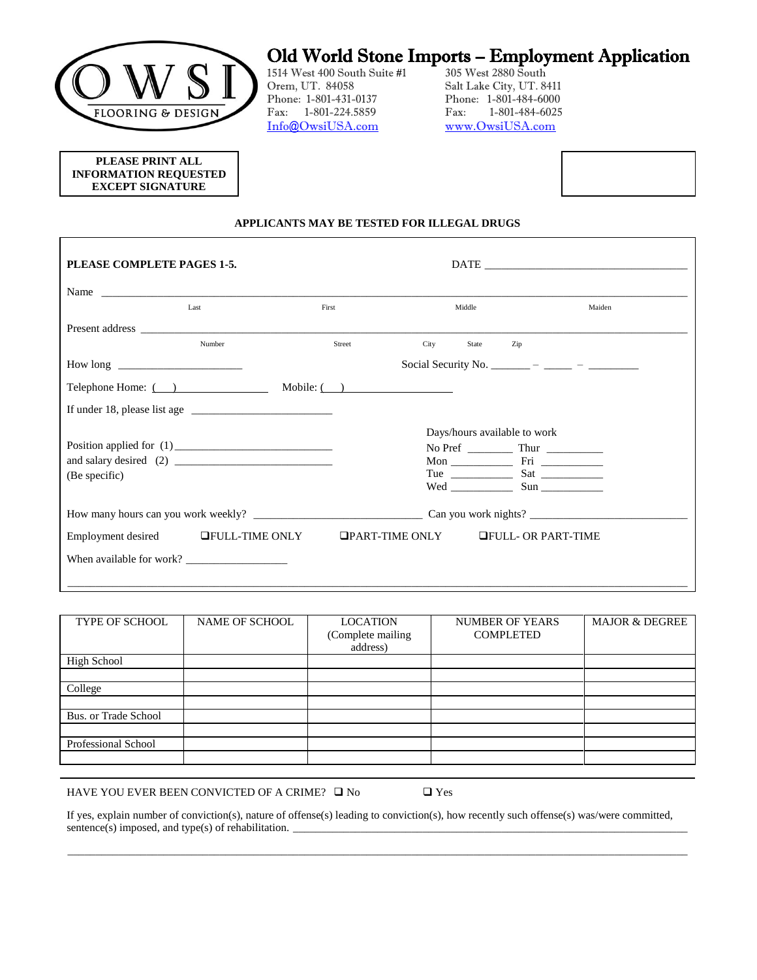

**PLEASE PRINT ALL INFORMATION REQUESTED EXCEPT SIGNATURE**

# Old World Stone Imports - Employment Application<br>1514 West 400 South Suite #1 305 West 2880 South

1514 West 400 South Suite #1<br>Orem, UT. 84058 Orem, UT. 84058 Salt Lake City, UT. 8411<br>Phone: 1-801-431-0137 Phone: 1-801-484-6000 Fax: 1-801-224.5859 Fax: 1-801-484-6025 [Info@OwsiUSA.com](mailto:Info@OwsiUSA.com) [www.OwsiUSA.com](http://www.owsiusa.com/)

Phone: 1-801-484-6000



### **APPLICANTS MAY BE TESTED FOR ILLEGAL DRUGS**

| PLEASE COMPLETE PAGES 1-5.                                                                                                                                                                                                                                                                                     |        |                         |        |                                                      | $\text{DATE}$ |
|----------------------------------------------------------------------------------------------------------------------------------------------------------------------------------------------------------------------------------------------------------------------------------------------------------------|--------|-------------------------|--------|------------------------------------------------------|---------------|
|                                                                                                                                                                                                                                                                                                                |        |                         |        |                                                      |               |
|                                                                                                                                                                                                                                                                                                                | Last   | First                   | Middle |                                                      | Maiden        |
|                                                                                                                                                                                                                                                                                                                |        |                         |        |                                                      |               |
|                                                                                                                                                                                                                                                                                                                | Number | Street                  | City   | State<br>Zip                                         |               |
| $How long _______$                                                                                                                                                                                                                                                                                             |        |                         |        | Social Security No. $\qquad \qquad  \qquad \qquad -$ |               |
| $\text{Telephone Home: } ($ $)$                                                                                                                                                                                                                                                                                |        | Mobile: $\qquad \qquad$ |        |                                                      |               |
|                                                                                                                                                                                                                                                                                                                |        |                         |        |                                                      |               |
|                                                                                                                                                                                                                                                                                                                |        |                         |        | Days/hours available to work                         |               |
|                                                                                                                                                                                                                                                                                                                |        |                         |        |                                                      |               |
| and salary desired (2) $\frac{1}{2}$ $\frac{1}{2}$ $\frac{1}{2}$ $\frac{1}{2}$ $\frac{1}{2}$ $\frac{1}{2}$ $\frac{1}{2}$ $\frac{1}{2}$ $\frac{1}{2}$ $\frac{1}{2}$ $\frac{1}{2}$ $\frac{1}{2}$ $\frac{1}{2}$ $\frac{1}{2}$ $\frac{1}{2}$ $\frac{1}{2}$ $\frac{1}{2}$ $\frac{1}{2}$ $\frac{1}{2}$ $\frac{1}{2}$ |        |                         |        |                                                      |               |
| (Be specific)                                                                                                                                                                                                                                                                                                  |        |                         |        |                                                      |               |
|                                                                                                                                                                                                                                                                                                                |        |                         |        |                                                      |               |
|                                                                                                                                                                                                                                                                                                                |        |                         |        |                                                      |               |
| Employment desired <b>EVEL-TIME ONLY</b>                                                                                                                                                                                                                                                                       |        |                         |        | $\Box$ PART-TIME ONLY $\Box$ FULL- OR PART-TIME      |               |
| When available for work?                                                                                                                                                                                                                                                                                       |        |                         |        |                                                      |               |
|                                                                                                                                                                                                                                                                                                                |        |                         |        |                                                      |               |

| <b>TYPE OF SCHOOL</b> | <b>NAME OF SCHOOL</b> | <b>LOCATION</b><br>(Complete mailing<br>address) | <b>NUMBER OF YEARS</b><br><b>COMPLETED</b> | <b>MAJOR &amp; DEGREE</b> |
|-----------------------|-----------------------|--------------------------------------------------|--------------------------------------------|---------------------------|
| High School           |                       |                                                  |                                            |                           |
|                       |                       |                                                  |                                            |                           |
| College               |                       |                                                  |                                            |                           |
|                       |                       |                                                  |                                            |                           |
| Bus. or Trade School  |                       |                                                  |                                            |                           |
|                       |                       |                                                  |                                            |                           |
| Professional School   |                       |                                                  |                                            |                           |
|                       |                       |                                                  |                                            |                           |

HAVE YOU EVER BEEN CONVICTED OF A CRIME?  $\Box$  No  $\Box$  Yes

If yes, explain number of conviction(s), nature of offense(s) leading to conviction(s), how recently such offense(s) was/were committed, sentence(s) imposed, and type(s) of rehabilitation.

\_\_\_\_\_\_\_\_\_\_\_\_\_\_\_\_\_\_\_\_\_\_\_\_\_\_\_\_\_\_\_\_\_\_\_\_\_\_\_\_\_\_\_\_\_\_\_\_\_\_\_\_\_\_\_\_\_\_\_\_\_\_\_\_\_\_\_\_\_\_\_\_\_\_\_\_\_\_\_\_\_\_\_\_\_\_\_\_\_\_\_\_\_\_\_\_\_\_\_\_\_\_\_\_\_\_\_\_\_\_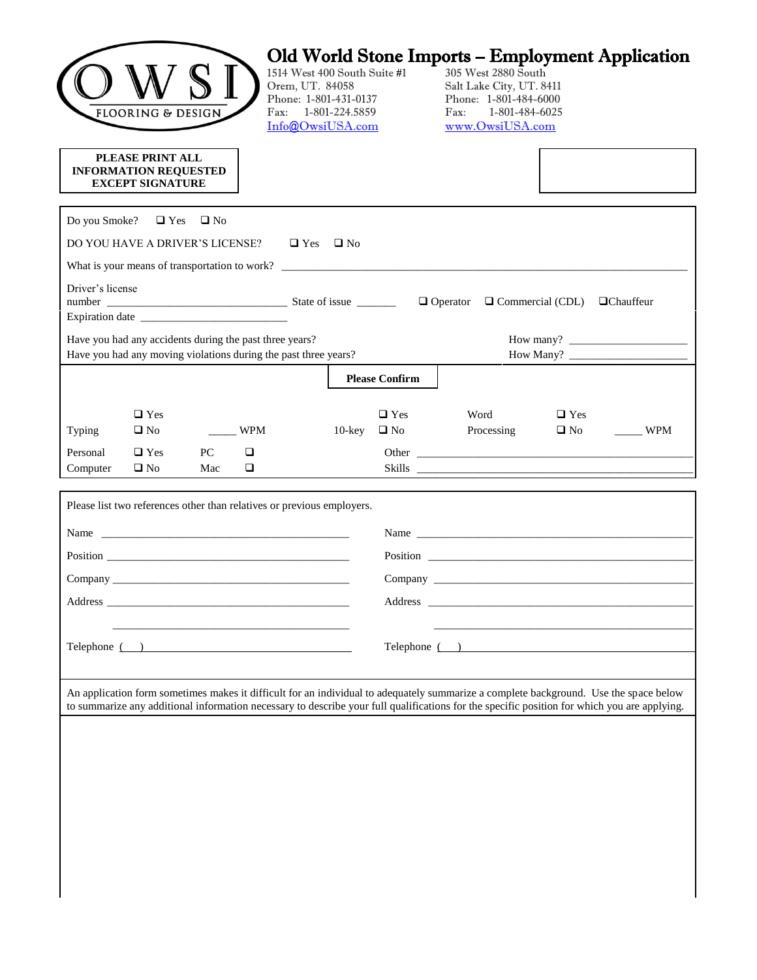|                                                                                                                                                                                                                                                                                                                                                                                                                 | PLEASE PRINT ALL                                        |     |            |            |           |                            |                                                                                                                                                                                                                                                                                       |                                          |            |
|-----------------------------------------------------------------------------------------------------------------------------------------------------------------------------------------------------------------------------------------------------------------------------------------------------------------------------------------------------------------------------------------------------------------|---------------------------------------------------------|-----|------------|------------|-----------|----------------------------|---------------------------------------------------------------------------------------------------------------------------------------------------------------------------------------------------------------------------------------------------------------------------------------|------------------------------------------|------------|
|                                                                                                                                                                                                                                                                                                                                                                                                                 | <b>INFORMATION REQUESTED</b><br><b>EXCEPT SIGNATURE</b> |     |            |            |           |                            |                                                                                                                                                                                                                                                                                       |                                          |            |
| Do you Smoke? $\Box$ Yes $\Box$ No                                                                                                                                                                                                                                                                                                                                                                              |                                                         |     |            |            |           |                            |                                                                                                                                                                                                                                                                                       |                                          |            |
| DO YOU HAVE A DRIVER'S LICENSE?                                                                                                                                                                                                                                                                                                                                                                                 |                                                         |     |            | $\Box$ Yes | $\Box$ No |                            |                                                                                                                                                                                                                                                                                       |                                          |            |
|                                                                                                                                                                                                                                                                                                                                                                                                                 |                                                         |     |            |            |           |                            |                                                                                                                                                                                                                                                                                       |                                          |            |
| Driver's license                                                                                                                                                                                                                                                                                                                                                                                                |                                                         |     |            |            |           |                            | $\Box$ Operator                                                                                                                                                                                                                                                                       | $\Box$ Commercial (CDL) $\Box$ Chauffeur |            |
| Expiration date $\frac{1}{\sqrt{1-\frac{1}{2}}}\left\{ \frac{1}{2}, \frac{1}{2}, \frac{1}{2}, \frac{1}{2}, \frac{1}{2}, \frac{1}{2}, \frac{1}{2}, \frac{1}{2}, \frac{1}{2}, \frac{1}{2}, \frac{1}{2}, \frac{1}{2}, \frac{1}{2}, \frac{1}{2}, \frac{1}{2}, \frac{1}{2}, \frac{1}{2}, \frac{1}{2}, \frac{1}{2}, \frac{1}{2}, \frac{1}{2}, \frac{1}{2}, \frac{1}{2}, \frac{1}{2}, \frac{1}{2}, \frac{1}{2}, \frac$ |                                                         |     |            |            |           |                            |                                                                                                                                                                                                                                                                                       |                                          |            |
| Have you had any accidents during the past three years?                                                                                                                                                                                                                                                                                                                                                         |                                                         |     |            |            |           |                            |                                                                                                                                                                                                                                                                                       |                                          |            |
| Have you had any moving violations during the past three years?                                                                                                                                                                                                                                                                                                                                                 |                                                         |     |            |            |           |                            |                                                                                                                                                                                                                                                                                       |                                          |            |
|                                                                                                                                                                                                                                                                                                                                                                                                                 |                                                         |     |            |            |           | <b>Please Confirm</b>      |                                                                                                                                                                                                                                                                                       |                                          |            |
| Typing                                                                                                                                                                                                                                                                                                                                                                                                          | $\Box$ Yes<br>$\square$ No                              |     | <b>WPM</b> |            | $10$ -key | $\Box$ Yes<br>$\square$ No | Word<br>Processing                                                                                                                                                                                                                                                                    | $\Box$ Yes<br>$\Box$ No                  | <b>WPM</b> |
| Personal                                                                                                                                                                                                                                                                                                                                                                                                        | $\Box$ Yes                                              | PC  | $\Box$     |            |           |                            |                                                                                                                                                                                                                                                                                       |                                          |            |
| Computer                                                                                                                                                                                                                                                                                                                                                                                                        | $\Box$ No                                               | Mac | $\Box$     |            |           |                            |                                                                                                                                                                                                                                                                                       |                                          |            |
|                                                                                                                                                                                                                                                                                                                                                                                                                 |                                                         |     |            |            |           |                            |                                                                                                                                                                                                                                                                                       |                                          |            |
| Please list two references other than relatives or previous employers.                                                                                                                                                                                                                                                                                                                                          |                                                         |     |            |            |           |                            |                                                                                                                                                                                                                                                                                       |                                          |            |
|                                                                                                                                                                                                                                                                                                                                                                                                                 |                                                         |     |            |            |           |                            |                                                                                                                                                                                                                                                                                       |                                          |            |
| Position and the contract of the contract of the contract of the contract of the contract of the contract of the contract of the contract of the contract of the contract of the contract of the contract of the contract of t                                                                                                                                                                                  |                                                         |     |            |            |           |                            | Position Position                                                                                                                                                                                                                                                                     |                                          |            |
|                                                                                                                                                                                                                                                                                                                                                                                                                 |                                                         |     |            |            |           |                            |                                                                                                                                                                                                                                                                                       |                                          |            |
|                                                                                                                                                                                                                                                                                                                                                                                                                 |                                                         |     |            |            |           |                            | Address and the state of the state of the state of the state of the state of the state of the state of the state of the state of the state of the state of the state of the state of the state of the state of the state of th                                                        |                                          |            |
|                                                                                                                                                                                                                                                                                                                                                                                                                 |                                                         |     |            |            |           |                            |                                                                                                                                                                                                                                                                                       |                                          |            |
| $\text{Telephone}$ $\qquad \qquad$                                                                                                                                                                                                                                                                                                                                                                              |                                                         |     |            |            |           |                            | $\text{Telephone} \quad \text{---}$                                                                                                                                                                                                                                                   |                                          |            |
|                                                                                                                                                                                                                                                                                                                                                                                                                 |                                                         |     |            |            |           |                            |                                                                                                                                                                                                                                                                                       |                                          |            |
|                                                                                                                                                                                                                                                                                                                                                                                                                 |                                                         |     |            |            |           |                            | An application form sometimes makes it difficult for an individual to adequately summarize a complete background. Use the space below<br>to summarize any additional information necessary to describe your full qualifications for the specific position for which you are applying. |                                          |            |
|                                                                                                                                                                                                                                                                                                                                                                                                                 |                                                         |     |            |            |           |                            |                                                                                                                                                                                                                                                                                       |                                          |            |
|                                                                                                                                                                                                                                                                                                                                                                                                                 |                                                         |     |            |            |           |                            |                                                                                                                                                                                                                                                                                       |                                          |            |
|                                                                                                                                                                                                                                                                                                                                                                                                                 |                                                         |     |            |            |           |                            |                                                                                                                                                                                                                                                                                       |                                          |            |
|                                                                                                                                                                                                                                                                                                                                                                                                                 |                                                         |     |            |            |           |                            |                                                                                                                                                                                                                                                                                       |                                          |            |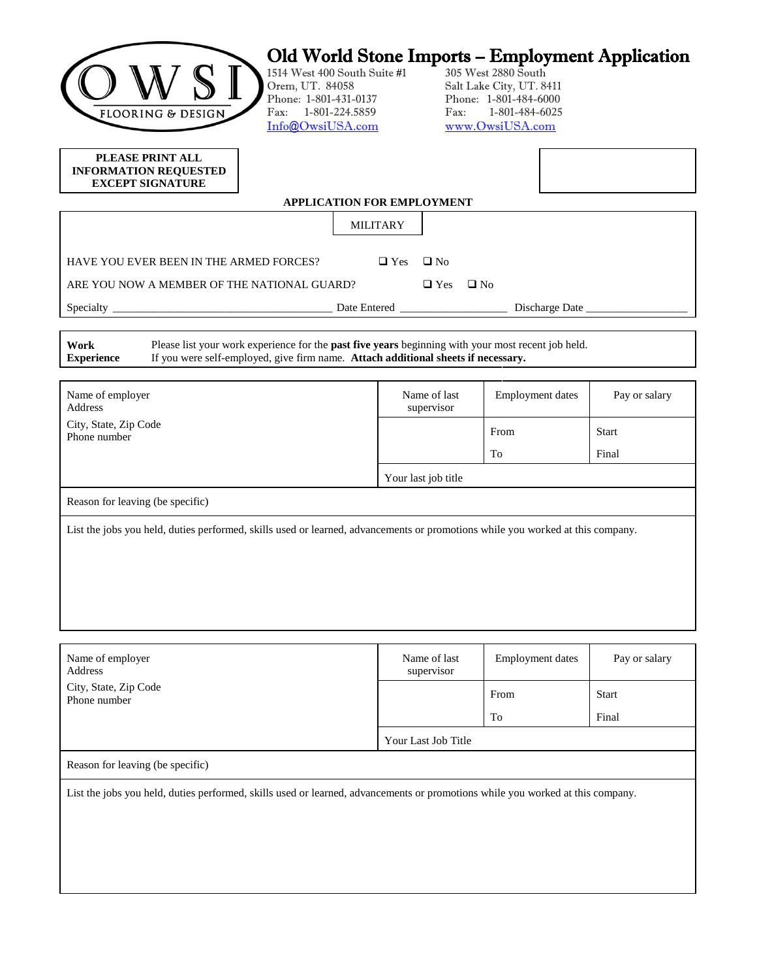| 1514 West 400 South Suite #1<br>S <sub>1</sub><br>Orem, UT. 84058<br>Phone: 1-801-431-0137<br>Fax: 1-801-224.5859<br><b>FLOORING &amp; DESIGN</b><br>Info@OwsiUSA.com                                                       | Old World Stone Imports - Employment Application<br>Fax: | 305 West 2880 South<br>Salt Lake City, UT. 8411<br>Phone: 1-801-484-6000<br>1-801-484-6025<br>www.OwsiUSA.com |               |
|-----------------------------------------------------------------------------------------------------------------------------------------------------------------------------------------------------------------------------|----------------------------------------------------------|---------------------------------------------------------------------------------------------------------------|---------------|
| PLEASE PRINT ALL<br><b>INFORMATION REQUESTED</b><br><b>EXCEPT SIGNATURE</b>                                                                                                                                                 |                                                          |                                                                                                               |               |
|                                                                                                                                                                                                                             | <b>APPLICATION FOR EMPLOYMENT</b>                        |                                                                                                               |               |
|                                                                                                                                                                                                                             | <b>MILITARY</b>                                          |                                                                                                               |               |
| HAVE YOU EVER BEEN IN THE ARMED FORCES?                                                                                                                                                                                     | $\square$ No<br>$\Box$ Yes                               |                                                                                                               |               |
| ARE YOU NOW A MEMBER OF THE NATIONAL GUARD?                                                                                                                                                                                 | $\Box$ Yes                                               | $\Box$ No                                                                                                     |               |
|                                                                                                                                                                                                                             |                                                          | Discharge Date                                                                                                |               |
| Work<br>Please list your work experience for the <b>past five years</b> beginning with your most recent job held.<br>If you were self-employed, give firm name. Attach additional sheets if necessary.<br><b>Experience</b> |                                                          |                                                                                                               |               |
|                                                                                                                                                                                                                             |                                                          |                                                                                                               |               |
| Name of employer<br>Address                                                                                                                                                                                                 | Name of last<br>supervisor                               | Employment dates                                                                                              | Pay or salary |
| City, State, Zip Code<br>Phone number                                                                                                                                                                                       |                                                          | From                                                                                                          | <b>Start</b>  |
|                                                                                                                                                                                                                             |                                                          | To                                                                                                            | Final         |
|                                                                                                                                                                                                                             | Your last job title                                      |                                                                                                               |               |
| Reason for leaving (be specific)                                                                                                                                                                                            |                                                          |                                                                                                               |               |
| List the jobs you held, duties performed, skills used or learned, advancements or promotions while you worked at this company.                                                                                              |                                                          |                                                                                                               |               |
| Name of employer<br>Address                                                                                                                                                                                                 | Name of last<br>supervisor                               | Employment dates                                                                                              | Pay or salary |
| City, State, Zip Code<br>Phone number                                                                                                                                                                                       |                                                          | From                                                                                                          | <b>Start</b>  |
|                                                                                                                                                                                                                             |                                                          | To                                                                                                            | Final         |
|                                                                                                                                                                                                                             | Your Last Job Title                                      |                                                                                                               |               |
| Reason for leaving (be specific)                                                                                                                                                                                            |                                                          |                                                                                                               |               |
| List the jobs you held, duties performed, skills used or learned, advancements or promotions while you worked at this company.                                                                                              |                                                          |                                                                                                               |               |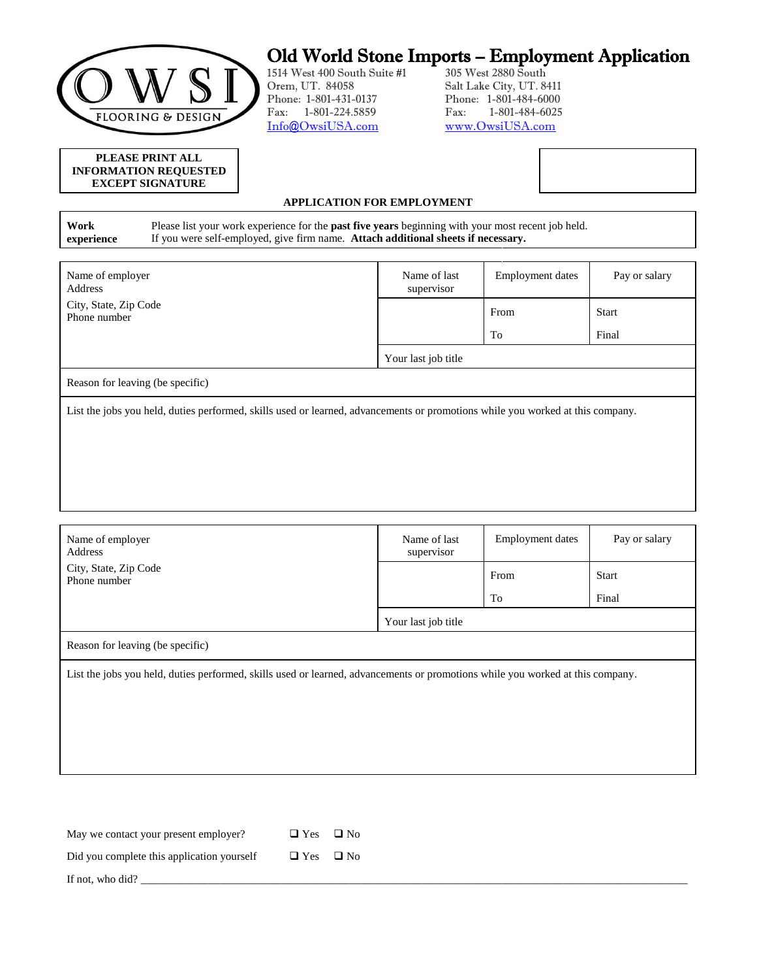

# Old World Stone Imports – Employment Application

Orem, UT. 84058 Salt Lake City, UT. 8411<br>Phone: 1-801-431-0137 Phone: 1-801-484-6000 Fax: 1-801-224.5859 Fax: 1-801-484-6025 [Info@OwsiUSA.com](mailto:Info@OwsiUSA.com) [www.OwsiUSA.com](http://www.owsiusa.com/)

1514 West 400 South Suite #1 305 West 2880 South Phone: 1-801-484-6000

| <b>PLEASE PRINT ALL</b>      |
|------------------------------|
| <b>INFORMATION REQUESTED</b> |
| <b>EXCEPT SIGNATURE</b>      |

#### **APPLICATION FOR EMPLOYMENT**

**Work experience** Please list your work experience for the **past five years** beginning with your most recent job held. If you were self-employed, give firm name. **Attach additional sheets if necessary.**

| Name of employer<br>Address                                                                                                    | Name of last<br>supervisor | <b>Employment dates</b> | Pay or salary |
|--------------------------------------------------------------------------------------------------------------------------------|----------------------------|-------------------------|---------------|
| City, State, Zip Code<br>Phone number                                                                                          |                            | From                    | Start         |
|                                                                                                                                |                            | To                      | Final         |
|                                                                                                                                | Your last job title        |                         |               |
| Reason for leaving (be specific)                                                                                               |                            |                         |               |
| List the jobs you held, duties performed, skills used or learned, advancements or promotions while you worked at this company. |                            |                         |               |

| Name of employer<br>Address                                                                                                    | Name of last<br>supervisor | Employment dates | Pay or salary |  |  |
|--------------------------------------------------------------------------------------------------------------------------------|----------------------------|------------------|---------------|--|--|
| City, State, Zip Code<br>Phone number                                                                                          |                            | From             | Start         |  |  |
|                                                                                                                                |                            | To               | Final         |  |  |
|                                                                                                                                | Your last job title        |                  |               |  |  |
| Reason for leaving (be specific)                                                                                               |                            |                  |               |  |  |
| List the jobs you held, duties performed, skills used or learned, advancements or promotions while you worked at this company. |                            |                  |               |  |  |

| May we contact your present employer?      | $\Box$ Yes $\Box$ No |  |
|--------------------------------------------|----------------------|--|
| Did you complete this application yourself | $\Box$ Yes $\Box$ No |  |
| If not, who did?                           |                      |  |